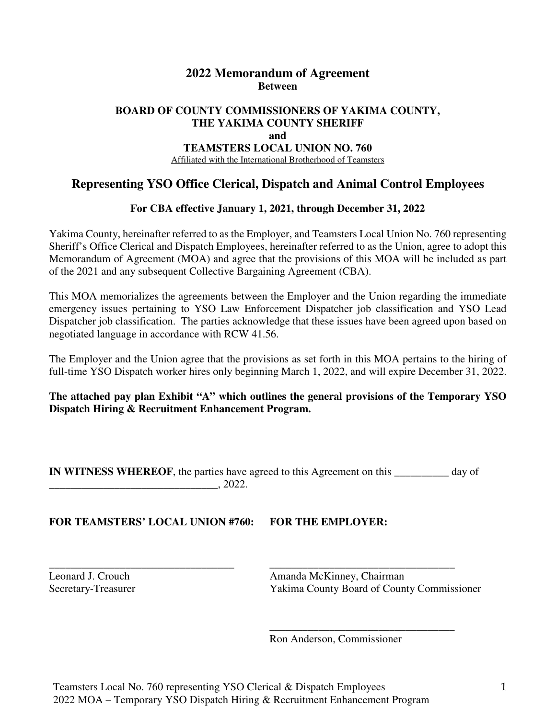## **2022 Memorandum of Agreement Between**

#### **BOARD OF COUNTY COMMISSIONERS OF YAKIMA COUNTY, THE YAKIMA COUNTY SHERIFF and TEAMSTERS LOCAL UNION NO. 760**

Affiliated with the International Brotherhood of Teamsters

# **Representing YSO Office Clerical, Dispatch and Animal Control Employees**

#### **For CBA effective January 1, 2021, through December 31, 2022**

Yakima County, hereinafter referred to as the Employer, and Teamsters Local Union No. 760 representing Sheriff's Office Clerical and Dispatch Employees, hereinafter referred to as the Union, agree to adopt this Memorandum of Agreement (MOA) and agree that the provisions of this MOA will be included as part of the 2021 and any subsequent Collective Bargaining Agreement (CBA).

This MOA memorializes the agreements between the Employer and the Union regarding the immediate emergency issues pertaining to YSO Law Enforcement Dispatcher job classification and YSO Lead Dispatcher job classification. The parties acknowledge that these issues have been agreed upon based on negotiated language in accordance with RCW 41.56.

The Employer and the Union agree that the provisions as set forth in this MOA pertains to the hiring of full-time YSO Dispatch worker hires only beginning March 1, 2022, and will expire December 31, 2022.

**The attached pay plan Exhibit "A" which outlines the general provisions of the Temporary YSO Dispatch Hiring & Recruitment Enhancement Program.** 

**IN WITNESS WHEREOF**, the parties have agreed to this Agreement on this \_\_\_\_\_\_\_\_\_ day of  $\frac{1}{2022}$ .

\_\_\_\_\_\_\_\_\_\_\_\_\_\_\_\_\_\_\_\_\_\_\_\_\_\_\_\_\_\_\_\_\_\_ \_\_\_\_\_\_\_\_\_\_\_\_\_\_\_\_\_\_\_\_\_\_\_\_\_\_\_\_\_\_\_\_\_\_

**FOR TEAMSTERS' LOCAL UNION #760: FOR THE EMPLOYER:**

Leonard J. Crouch Amanda McKinney, Chairman Secretary-Treasurer Yakima County Board of County Commissioner

\_\_\_\_\_\_\_\_\_\_\_\_\_\_\_\_\_\_\_\_\_\_\_\_\_\_\_\_\_\_\_\_\_\_

Ron Anderson, Commissioner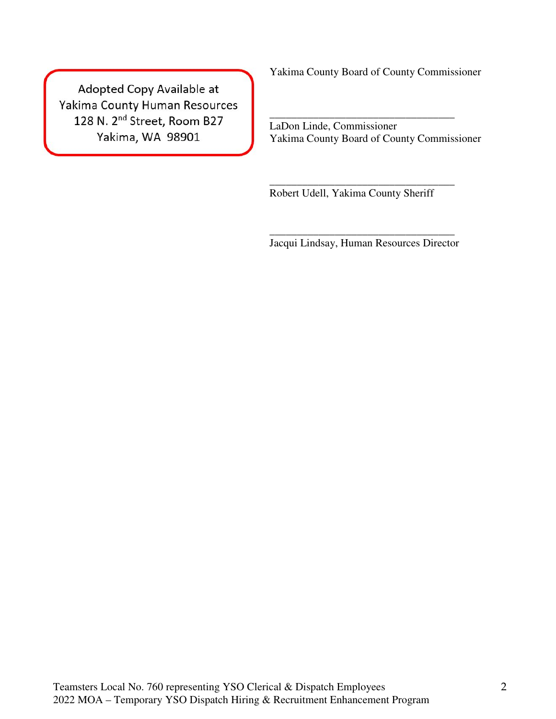Adopted Copy Available at Yakima County Human Resources 128 N. 2<sup>nd</sup> Street, Room B27 Yakima, WA 98901

Yakima County Board of County Commissioner

LaDon Linde, Commissioner Yakima County Board of County Commissioner

\_\_\_\_\_\_\_\_\_\_\_\_\_\_\_\_\_\_\_\_\_\_\_\_\_\_\_\_\_\_\_\_\_\_

Robert Udell, Yakima County Sheriff

\_\_\_\_\_\_\_\_\_\_\_\_\_\_\_\_\_\_\_\_\_\_\_\_\_\_\_\_\_\_\_\_\_\_ Jacqui Lindsay, Human Resources Director

\_\_\_\_\_\_\_\_\_\_\_\_\_\_\_\_\_\_\_\_\_\_\_\_\_\_\_\_\_\_\_\_\_\_